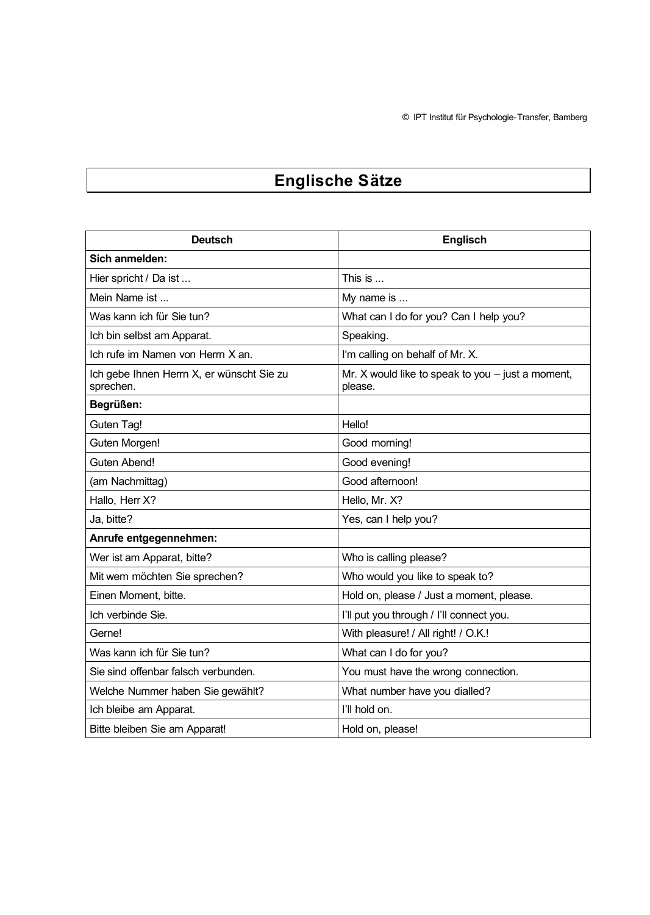$©$  IPT Institut für Psychologie-Transfer, Bamberg

## **Englische SÄtze**

| <b>Deutsch</b>                                         | <b>Englisch</b>                                                |
|--------------------------------------------------------|----------------------------------------------------------------|
| Sich anmelden:                                         |                                                                |
| Hier spricht / Da ist                                  | This is $\dots$                                                |
| Mein Name ist                                          | My name is                                                     |
| Was kann ich für Sie tun?                              | What can I do for you? Can I help you?                         |
| Ich bin selbst am Apparat.                             | Speaking.                                                      |
| Ich rufe im Namen von Herrn X an.                      | I'm calling on behalf of Mr. X.                                |
| Ich gebe Ihnen Herrn X, er wünscht Sie zu<br>sprechen. | Mr. X would like to speak to you $-$ just a moment,<br>please. |
| Begrüßen:                                              |                                                                |
| Guten Tag!                                             | Hello!                                                         |
| Guten Morgen!                                          | Good morning!                                                  |
| Guten Abend!                                           | Good evening!                                                  |
| (am Nachmittag)                                        | Good afternoon!                                                |
| Hallo, Herr X?                                         | Hello, Mr. X?                                                  |
| Ja, bitte?                                             | Yes, can I help you?                                           |
| Anrufe entgegennehmen:                                 |                                                                |
| Wer ist am Apparat, bitte?                             | Who is calling please?                                         |
| Mit wem möchten Sie sprechen?                          | Who would you like to speak to?                                |
| Einen Moment, bitte.                                   | Hold on, please / Just a moment, please.                       |
| Ich verbinde Sie.                                      | I'll put you through / I'll connect you.                       |
| Gerne!                                                 | With pleasure! / All right! / O.K.!                            |
| Was kann ich für Sie tun?                              | What can I do for you?                                         |
| Sie sind offenbar falsch verbunden.                    | You must have the wrong connection.                            |
| Welche Nummer haben Sie gewählt?                       | What number have you dialled?                                  |
| Ich bleibe am Apparat.                                 | I'll hold on.                                                  |
| Bitte bleiben Sie am Apparat!                          | Hold on, please!                                               |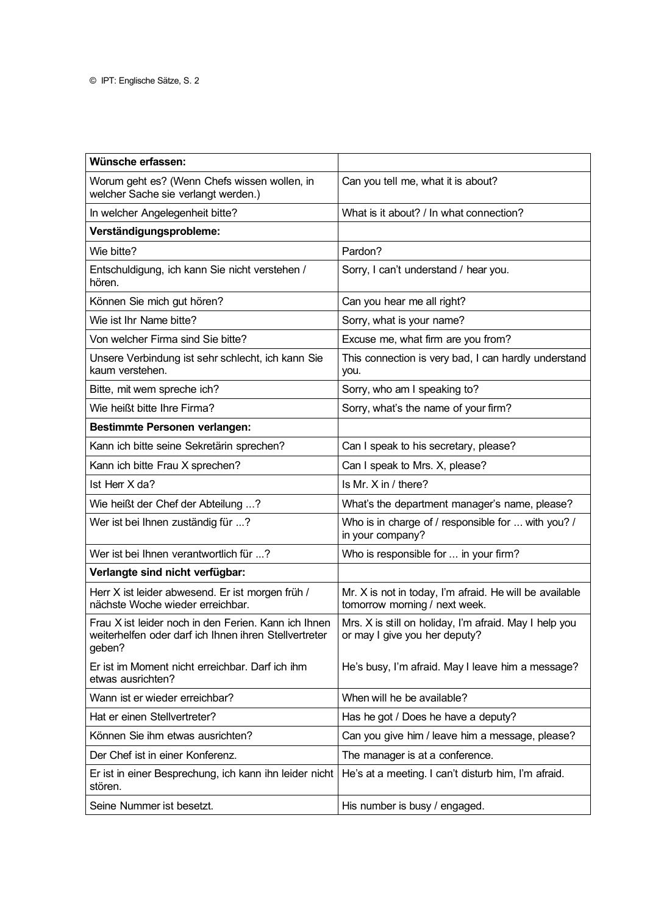| Wünsche erfassen:                                                                                                       |                                                                                          |
|-------------------------------------------------------------------------------------------------------------------------|------------------------------------------------------------------------------------------|
| Worum geht es? (Wenn Chefs wissen wollen, in<br>welcher Sache sie verlangt werden.)                                     | Can you tell me, what it is about?                                                       |
| In welcher Angelegenheit bitte?                                                                                         | What is it about? / In what connection?                                                  |
| Verständigungsprobleme:                                                                                                 |                                                                                          |
| Wie bitte?                                                                                                              | Pardon?                                                                                  |
| Entschuldigung, ich kann Sie nicht verstehen /<br>hören.                                                                | Sorry, I can't understand / hear you.                                                    |
| Können Sie mich gut hören?                                                                                              | Can you hear me all right?                                                               |
| Wie ist Ihr Name bitte?                                                                                                 | Sorry, what is your name?                                                                |
| Von welcher Firma sind Sie bitte?                                                                                       | Excuse me, what firm are you from?                                                       |
| Unsere Verbindung ist sehr schlecht, ich kann Sie<br>kaum verstehen.                                                    | This connection is very bad, I can hardly understand<br>you.                             |
| Bitte, mit wem spreche ich?                                                                                             | Sorry, who am I speaking to?                                                             |
| Wie heißt bitte Ihre Firma?                                                                                             | Sorry, what's the name of your firm?                                                     |
| <b>Bestimmte Personen verlangen:</b>                                                                                    |                                                                                          |
| Kann ich bitte seine Sekretärin sprechen?                                                                               | Can I speak to his secretary, please?                                                    |
| Kann ich bitte Frau X sprechen?                                                                                         | Can I speak to Mrs. X, please?                                                           |
| Ist Herr X da?                                                                                                          | Is Mr. X in / there?                                                                     |
| Wie heißt der Chef der Abteilung ?                                                                                      | What's the department manager's name, please?                                            |
| Wer ist bei Ihnen zuständig für ?                                                                                       | Who is in charge of / responsible for  with you? /<br>in your company?                   |
| Wer ist bei Ihnen verantwortlich für ?                                                                                  | Who is responsible for  in your firm?                                                    |
| Verlangte sind nicht verfügbar:                                                                                         |                                                                                          |
| Herr X ist leider abwesend. Er ist morgen früh /<br>nächste Woche wieder erreichbar.                                    | Mr. X is not in today, I'm afraid. He will be available<br>tomorrow morning / next week. |
| Frau X ist leider noch in den Ferien. Kann ich Ihnen<br>weiterhelfen oder darf ich Ihnen ihren Stellvertreter<br>geben? | Mrs. X is still on holiday, I'm afraid. May I help you<br>or may I give you her deputy?  |
| Er ist im Moment nicht erreichbar. Darf ich ihm<br>etwas ausrichten?                                                    | He's busy, I'm afraid. May I leave him a message?                                        |
| Wann ist er wieder erreichbar?                                                                                          | When will he be available?                                                               |
| Hat er einen Stellvertreter?                                                                                            | Has he got / Does he have a deputy?                                                      |
| Können Sie ihm etwas ausrichten?                                                                                        | Can you give him / leave him a message, please?                                          |
| Der Chef ist in einer Konferenz.                                                                                        | The manager is at a conference.                                                          |
| Er ist in einer Besprechung, ich kann ihn leider nicht<br>stören.                                                       | He's at a meeting. I can't disturb him, I'm afraid.                                      |
| Seine Nummer ist besetzt.                                                                                               | His number is busy / engaged.                                                            |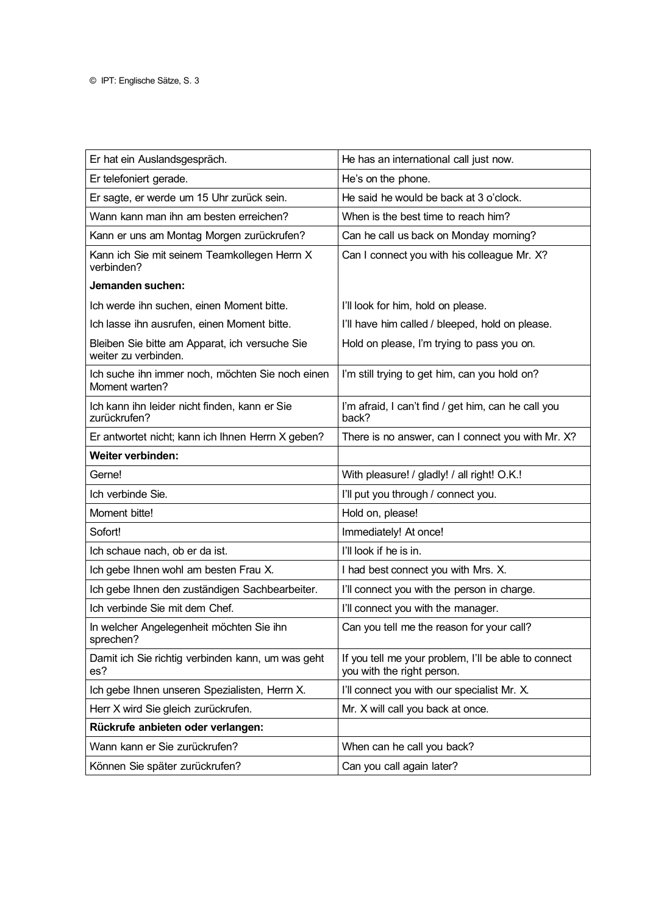| Er hat ein Auslandsgespräch.                                           | He has an international call just now.                                             |
|------------------------------------------------------------------------|------------------------------------------------------------------------------------|
| Er telefoniert gerade.                                                 | He's on the phone.                                                                 |
| Er sagte, er werde um 15 Uhr zurück sein.                              | He said he would be back at 3 o'clock.                                             |
| Wann kann man ihn am besten erreichen?                                 | When is the best time to reach him?                                                |
| Kann er uns am Montag Morgen zurückrufen?                              | Can he call us back on Monday morning?                                             |
| Kann ich Sie mit seinem Teamkollegen Herrn X<br>verbinden?             | Can I connect you with his colleague Mr. X?                                        |
| Jemanden suchen:                                                       |                                                                                    |
| Ich werde ihn suchen, einen Moment bitte.                              | I'll look for him, hold on please.                                                 |
| Ich lasse ihn ausrufen, einen Moment bitte.                            | I'll have him called / bleeped, hold on please.                                    |
| Bleiben Sie bitte am Apparat, ich versuche Sie<br>weiter zu verbinden. | Hold on please, I'm trying to pass you on.                                         |
| Ich suche ihn immer noch, möchten Sie noch einen<br>Moment warten?     | I'm still trying to get him, can you hold on?                                      |
| Ich kann ihn leider nicht finden, kann er Sie<br>zurückrufen?          | I'm afraid, I can't find / get him, can he call you<br>back?                       |
| Er antwortet nicht; kann ich Ihnen Herrn X geben?                      | There is no answer, can I connect you with Mr. X?                                  |
| Weiter verbinden:                                                      |                                                                                    |
| Gerne!                                                                 | With pleasure! / gladly! / all right! O.K.!                                        |
| Ich verbinde Sie.                                                      | I'll put you through / connect you.                                                |
| Moment bitte!                                                          | Hold on, please!                                                                   |
| Sofort!                                                                | Immediately! At once!                                                              |
| Ich schaue nach, ob er da ist.                                         | I'll look if he is in.                                                             |
| Ich gebe Ihnen wohl am besten Frau X.                                  | I had best connect you with Mrs. X.                                                |
| Ich gebe Ihnen den zuständigen Sachbearbeiter.                         | I'll connect you with the person in charge.                                        |
| Ich verbinde Sie mit dem Chef.                                         | I'll connect you with the manager.                                                 |
| In welcher Angelegenheit möchten Sie ihn<br>sprechen?                  | Can you tell me the reason for your call?                                          |
| Damit ich Sie richtig verbinden kann, um was geht<br>es?               | If you tell me your problem, I'll be able to connect<br>you with the right person. |
| Ich gebe Ihnen unseren Spezialisten, Herrn X.                          | I'll connect you with our specialist Mr. X.                                        |
| Herr X wird Sie gleich zurückrufen.                                    | Mr. X will call you back at once.                                                  |
| Rückrufe anbieten oder verlangen:                                      |                                                                                    |
| Wann kann er Sie zurückrufen?                                          | When can he call you back?                                                         |
| Können Sie später zurückrufen?                                         | Can you call again later?                                                          |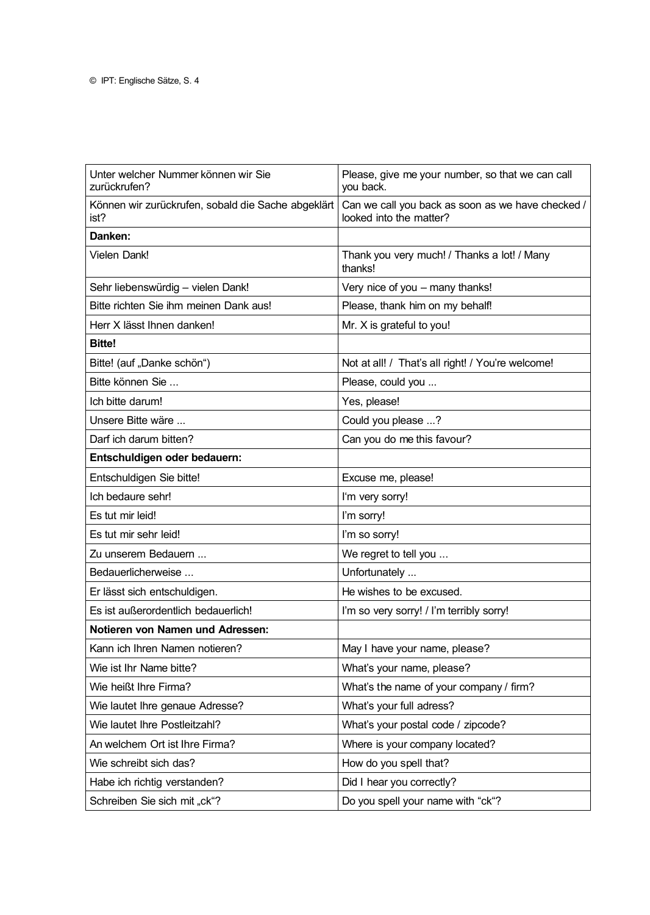| Unter welcher Nummer können wir Sie<br>zurückrufen?        | Please, give me your number, so that we can call<br>you back.                |
|------------------------------------------------------------|------------------------------------------------------------------------------|
| Können wir zurückrufen, sobald die Sache abgeklärt<br>ist? | Can we call you back as soon as we have checked /<br>looked into the matter? |
| Danken:                                                    |                                                                              |
| Vielen Dank!                                               | Thank you very much! / Thanks a lot! / Many<br>thanks!                       |
| Sehr liebenswürdig - vielen Dank!                          | Very nice of you - many thanks!                                              |
| Bitte richten Sie ihm meinen Dank aus!                     | Please, thank him on my behalf!                                              |
| Herr X lässt Ihnen danken!                                 | Mr. X is grateful to you!                                                    |
| <b>Bitte!</b>                                              |                                                                              |
| Bitte! (auf "Danke schön")                                 | Not at all! / That's all right! / You're welcome!                            |
| Bitte können Sie                                           | Please, could you                                                            |
| Ich bitte darum!                                           | Yes, please!                                                                 |
| Unsere Bitte wäre                                          | Could you please ?                                                           |
| Darf ich darum bitten?                                     | Can you do me this favour?                                                   |
| Entschuldigen oder bedauern:                               |                                                                              |
| Entschuldigen Sie bitte!                                   | Excuse me, please!                                                           |
| Ich bedaure sehr!                                          | I'm very sorry!                                                              |
| Es tut mir leid!                                           | I'm sorry!                                                                   |
| Es tut mir sehr leid!                                      | I'm so sorry!                                                                |
| Zu unserem Bedauern                                        | We regret to tell you                                                        |
| Bedauerlicherweise                                         | Unfortunately                                                                |
| Er lässt sich entschuldigen.                               | He wishes to be excused.                                                     |
| Es ist außerordentlich bedauerlich!                        | I'm so very sorry! / I'm terribly sorry!                                     |
| Notieren von Namen und Adressen:                           |                                                                              |
| Kann ich Ihren Namen notieren?                             | May I have your name, please?                                                |
| Wie ist Ihr Name bitte?                                    | What's your name, please?                                                    |
| Wie heißt Ihre Firma?                                      | What's the name of your company / firm?                                      |
| Wie lautet Ihre genaue Adresse?                            | What's your full adress?                                                     |
| Wie lautet Ihre Postleitzahl?                              | What's your postal code / zipcode?                                           |
| An welchem Ort ist Ihre Firma?                             | Where is your company located?                                               |
| Wie schreibt sich das?                                     | How do you spell that?                                                       |
| Habe ich richtig verstanden?                               | Did I hear you correctly?                                                    |
| Schreiben Sie sich mit "ck"?                               | Do you spell your name with "ck"?                                            |